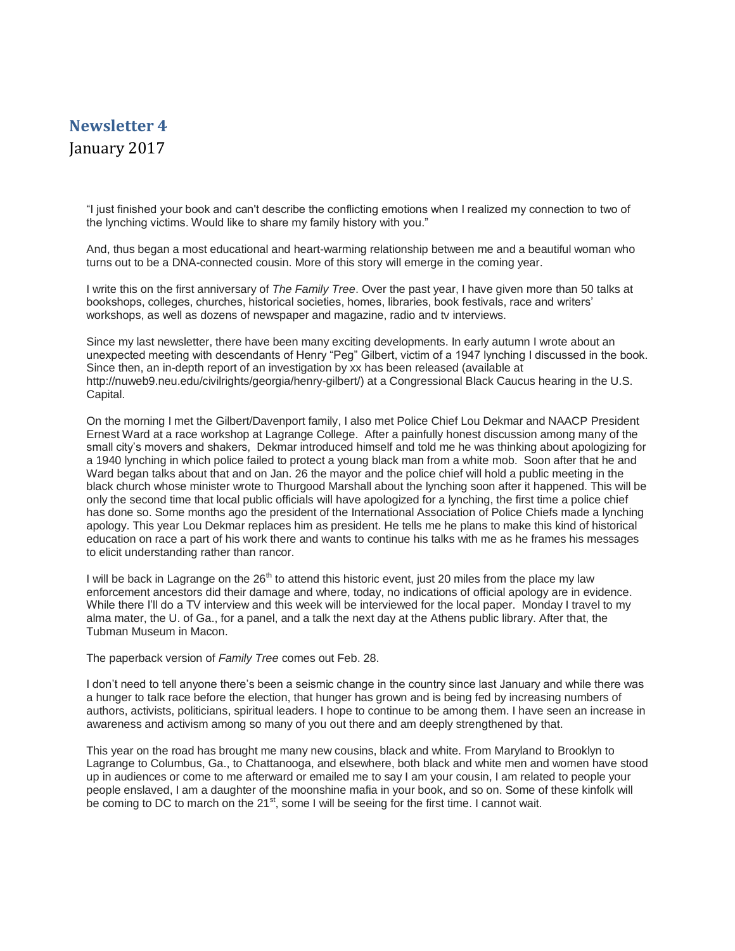## **Newsletter 4** January 2017

"I just finished your book and can't describe the conflicting emotions when I realized my connection to two of the lynching victims. Would like to share my family history with you."

And, thus began a most educational and heart-warming relationship between me and a beautiful woman who turns out to be a DNA-connected cousin. More of this story will emerge in the coming year.

I write this on the first anniversary of *The Family Tree*. Over the past year, I have given more than 50 talks at bookshops, colleges, churches, historical societies, homes, libraries, book festivals, race and writers' workshops, as well as dozens of newspaper and magazine, radio and tv interviews.

Since my last newsletter, there have been many exciting developments. In early autumn I wrote about an unexpected meeting with descendants of Henry "Peg" Gilbert, victim of a 1947 lynching I discussed in the book. Since then, an in-depth report of an investigation by xx has been released (available at http://nuweb9.neu.edu/civilrights/georgia/henry-gilbert/) at a Congressional Black Caucus hearing in the U.S. Capital.

On the morning I met the Gilbert/Davenport family, I also met Police Chief Lou Dekmar and NAACP President Ernest Ward at a race workshop at Lagrange College. After a painfully honest discussion among many of the small city's movers and shakers, Dekmar introduced himself and told me he was thinking about apologizing for a 1940 lynching in which police failed to protect a young black man from a white mob. Soon after that he and Ward began talks about that and on Jan. 26 the mayor and the police chief will hold a public meeting in the black church whose minister wrote to Thurgood Marshall about the lynching soon after it happened. This will be only the second time that local public officials will have apologized for a lynching, the first time a police chief has done so. Some months ago the president of the International Association of Police Chiefs made a lynching apology. This year Lou Dekmar replaces him as president. He tells me he plans to make this kind of historical education on race a part of his work there and wants to continue his talks with me as he frames his messages to elicit understanding rather than rancor.

I will be back in Lagrange on the  $26<sup>th</sup>$  to attend this historic event, just 20 miles from the place my law enforcement ancestors did their damage and where, today, no indications of official apology are in evidence. While there I'll do a TV interview and this week will be interviewed for the local paper. Monday I travel to my alma mater, the U. of Ga., for a panel, and a talk the next day at the Athens public library. After that, the Tubman Museum in Macon.

The paperback version of *Family Tree* comes out Feb. 28.

I don't need to tell anyone there's been a seismic change in the country since last January and while there was a hunger to talk race before the election, that hunger has grown and is being fed by increasing numbers of authors, activists, politicians, spiritual leaders. I hope to continue to be among them. I have seen an increase in awareness and activism among so many of you out there and am deeply strengthened by that.

This year on the road has brought me many new cousins, black and white. From Maryland to Brooklyn to Lagrange to Columbus, Ga., to Chattanooga, and elsewhere, both black and white men and women have stood up in audiences or come to me afterward or emailed me to say I am your cousin, I am related to people your people enslaved, I am a daughter of the moonshine mafia in your book, and so on. Some of these kinfolk will be coming to DC to march on the 21<sup>st</sup>, some I will be seeing for the first time. I cannot wait.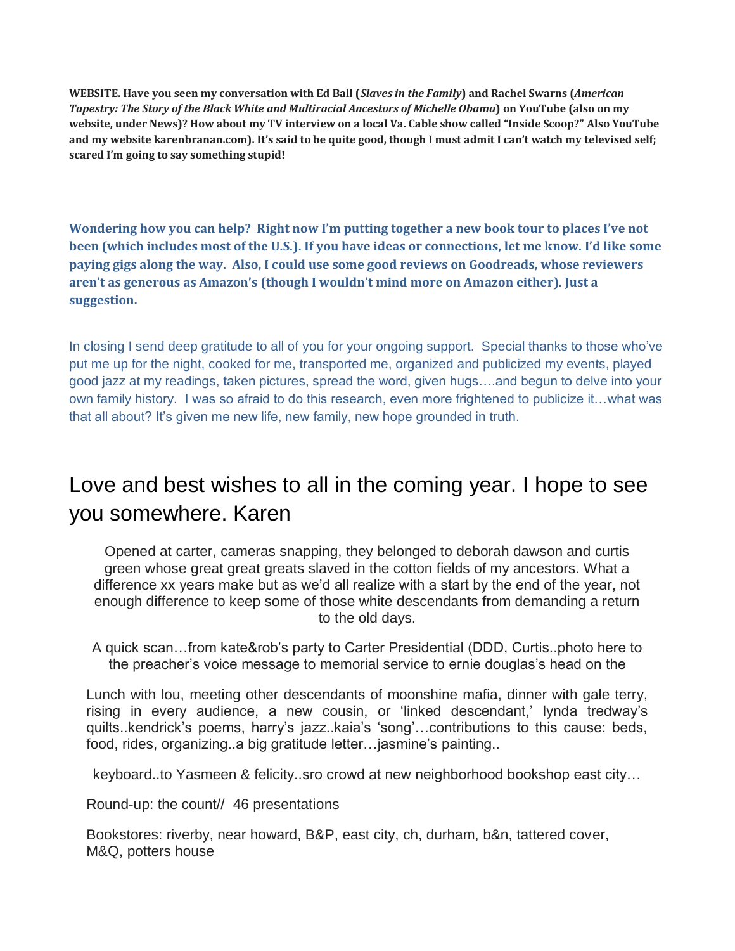**WEBSITE. Have you seen my conversation with Ed Ball (***Slaves in the Family***) and Rachel Swarns (***American Tapestry: The Story of the Black White and Multiracial Ancestors of Michelle Obama***) on YouTube (also on my website, under News)? How about my TV interview on a local Va. Cable show called "Inside Scoop?" Also YouTube and my website karenbranan.com). It's said to be quite good, though I must admit I can't watch my televised self; scared I'm going to say something stupid!** 

**Wondering how you can help? Right now I'm putting together a new book tour to places I've not been (which includes most of the U.S.). If you have ideas or connections, let me know. I'd like some paying gigs along the way. Also, I could use some good reviews on Goodreads, whose reviewers aren't as generous as Amazon's (though I wouldn't mind more on Amazon either). Just a suggestion.**

In closing I send deep gratitude to all of you for your ongoing support. Special thanks to those who've put me up for the night, cooked for me, transported me, organized and publicized my events, played good jazz at my readings, taken pictures, spread the word, given hugs….and begun to delve into your own family history. I was so afraid to do this research, even more frightened to publicize it…what was that all about? It's given me new life, new family, new hope grounded in truth.

## Love and best wishes to all in the coming year. I hope to see you somewhere. Karen

Opened at carter, cameras snapping, they belonged to deborah dawson and curtis green whose great great greats slaved in the cotton fields of my ancestors. What a difference xx years make but as we'd all realize with a start by the end of the year, not enough difference to keep some of those white descendants from demanding a return to the old days.

A quick scan…from kate&rob's party to Carter Presidential (DDD, Curtis..photo here to the preacher's voice message to memorial service to ernie douglas's head on the

Lunch with lou, meeting other descendants of moonshine mafia, dinner with gale terry, rising in every audience, a new cousin, or 'linked descendant,' lynda tredway's quilts..kendrick's poems, harry's jazz..kaia's 'song'…contributions to this cause: beds, food, rides, organizing..a big gratitude letter…jasmine's painting..

keyboard..to Yasmeen & felicity..sro crowd at new neighborhood bookshop east city…

Round-up: the count// 46 presentations

Bookstores: riverby, near howard, B&P, east city, ch, durham, b&n, tattered cover, M&Q, potters house